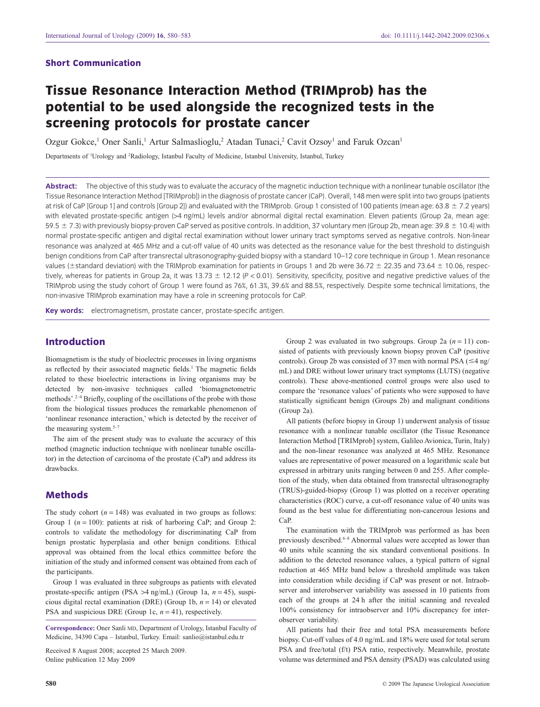## **Short Communication**

# **Tissue Resonance Interaction Method (TRIMprob) has the potential to be used alongside the recognized tests in the screening protocols for prostate cancer**

Ozgur Gokce,<sup>1</sup> Oner Sanli,<sup>1</sup> Artur Salmaslioglu,<sup>2</sup> Atadan Tunaci,<sup>2</sup> Cavit Ozsov<sup>1</sup> and Faruk Ozcan<sup>1</sup>

Departments of <sup>1</sup>Urology and <sup>2</sup>Radiology, Istanbul Faculty of Medicine, Istanbul University, Istanbul, Turkey

**Abstract:** The objective of this study was to evaluate the accuracy of the magnetic induction technique with a nonlinear tunable oscillator (the Tissue Resonance Interaction Method [TRIMprob]) in the diagnosis of prostate cancer (CaP). Overall, 148 men were split into two groups (patients at risk of CaP [Group 1] and controls [Group 2]) and evaluated with the TRIMprob. Group 1 consisted of 100 patients (mean age: 63.8  $\pm$  7.2 years) with elevated prostate-specific antigen (>4 ng/mL) levels and/or abnormal digital rectal examination. Eleven patients (Group 2a, mean age: 59.5 ± 7.3) with previously biopsy-proven CaP served as positive controls. In addition, 37 voluntary men (Group 2b, mean age: 39.8 ± 10.4) with normal prostate-specific antigen and digital rectal examination without lower urinary tract symptoms served as negative controls. Non-linear resonance was analyzed at 465 MHz and a cut-off value of 40 units was detected as the resonance value for the best threshold to distinguish benign conditions from CaP after transrectal ultrasonography-guided biopsy with a standard 10–12 core technique in Group 1. Mean resonance values (±standard deviation) with the TRIMprob examination for patients in Groups 1 and 2b were 36.72  $\pm$  22.35 and 73.64  $\pm$  10.06, respectively, whereas for patients in Group 2a, it was 13.73  $\pm$  12.12 (P < 0.01). Sensitivity, specificity, positive and negative predictive values of the TRIMprob using the study cohort of Group 1 were found as 76%, 61.3%, 39.6% and 88.5%, respectively. Despite some technical limitations, the non-invasive TRIMprob examination may have a role in screening protocols for CaP.

**Key words:** electromagnetism, prostate cancer, prostate-specific antigen.

## **Introduction**

Biomagnetism is the study of bioelectric processes in living organisms as reflected by their associated magnetic fields.<sup>1</sup> The magnetic fields related to these bioelectric interactions in living organisms may be detected by non-invasive techniques called 'biomagnetometric methods'. $2-4$  Briefly, coupling of the oscillations of the probe with those from the biological tissues produces the remarkable phenomenon of 'nonlinear resonance interaction,' which is detected by the receiver of the measuring system.<sup>5-7</sup>

The aim of the present study was to evaluate the accuracy of this method (magnetic induction technique with nonlinear tunable oscillator) in the detection of carcinoma of the prostate (CaP) and address its drawbacks.

# **Methods**

The study cohort  $(n = 148)$  was evaluated in two groups as follows: Group 1 ( $n = 100$ ): patients at risk of harboring CaP; and Group 2: controls to validate the methodology for discriminating CaP from benign prostatic hyperplasia and other benign conditions. Ethical approval was obtained from the local ethics committee before the initiation of the study and informed consent was obtained from each of the participants.

Group 1 was evaluated in three subgroups as patients with elevated prostate-specific antigen (PSA >4 ng/mL) (Group 1a, *n* = 45), suspicious digital rectal examination (DRE) (Group 1b, *n* = 14) or elevated PSA and suspicious DRE (Group 1c, *n* = 41), respectively.

**Correspondence:** Oner Sanli MD, Department of Urology, Istanbul Faculty of Medicine, 34390 Capa – Istanbul, Turkey. Email: [sanlio@istanbul.edu.tr](mailto:sanlio@istanbul.edu.tr)

Received 8 August 2008; accepted 25 March 2009. Online publication 12 May 2009

Group 2 was evaluated in two subgroups. Group 2a  $(n = 11)$  consisted of patients with previously known biopsy proven CaP (positive controls). Group 2b was consisted of 37 men with normal PSA  $(\leq 4$  ng/ mL) and DRE without lower urinary tract symptoms (LUTS) (negative controls). These above-mentioned control groups were also used to compare the 'resonance values' of patients who were supposed to have statistically significant benign (Groups 2b) and malignant conditions (Group 2a).

All patients (before biopsy in Group 1) underwent analysis of tissue resonance with a nonlinear tunable oscillator (the Tissue Resonance Interaction Method [TRIMprob] system, Galileo Avionica, Turin, Italy) and the non-linear resonance was analyzed at 465 MHz. Resonance values are representative of power measured on a logarithmic scale but expressed in arbitrary units ranging between 0 and 255. After completion of the study, when data obtained from transrectal ultrasonography (TRUS)-guided-biopsy (Group 1) was plotted on a receiver operating characteristics (ROC) curve, a cut-off resonance value of 40 units was found as the best value for differentiating non-cancerous lesions and CaP.

The examination with the TRIMprob was performed as has been previously described.<sup>6–8</sup> Abnormal values were accepted as lower than 40 units while scanning the six standard conventional positions. In addition to the detected resonance values, a typical pattern of signal reduction at 465 MHz band below a threshold amplitude was taken into consideration while deciding if CaP was present or not. Intraobserver and interobserver variability was assessed in 10 patients from each of the groups at 24 h after the initial scanning and revealed 100% consistency for intraobserver and 10% discrepancy for interobserver variability.

All patients had their free and total PSA measurements before biopsy. Cut-off values of 4.0 ng/mL and 18% were used for total serum PSA and free/total (f/t) PSA ratio, respectively. Meanwhile, prostate volume was determined and PSA density (PSAD) was calculated using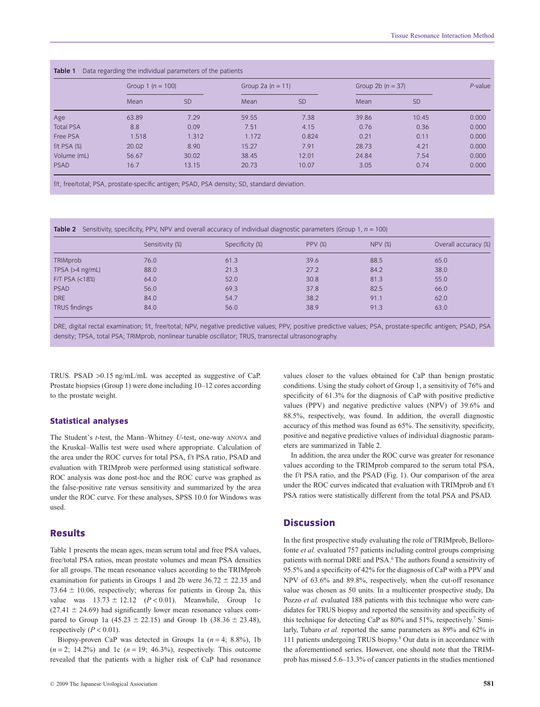|                  | Group 1 $(n = 100)$ |           | Group 2a $(n = 11)$ |           | Group 2b $(n = 37)$ |           | $P$ -value |
|------------------|---------------------|-----------|---------------------|-----------|---------------------|-----------|------------|
|                  | Mean                | <b>SD</b> | Mean                | <b>SD</b> | Mean                | <b>SD</b> |            |
| Age              | 63.89               | 7.29      | 59.55               | 7.38      | 39.86               | 10.45     | 0.000      |
| <b>Total PSA</b> | 8.8                 | 0.09      | 7.51                | 4.15      | 0.76                | 0.36      | 0.000      |
| Free PSA         | 1.518               | 1.312     | 1.172               | 0.824     | 0.21                | 0.11      | 0.000      |
| $f/t$ PSA $(%)$  | 20.02               | 8.90      | 15.27               | 7.91      | 28.73               | 4.21      | 0.000      |
| Volume (mL)      | 56.67               | 30.02     | 38.45               | 12.01     | 24.84               | 7.54      | 0.000      |
| <b>PSAD</b>      | 16.7                | 13.15     | 20.73               | 10.07     | 3.05                | 0.74      | 0.000      |

f/t, free/total; PSA, prostate-specific antigen; PSAD, PSA density; SD, standard deviation.

**Table 2** Sensitivity, specificity, PPV, NPV and overall accuracy of individual diagnostic parameters (Group 1,  $n = 100$ )

|                                 | Sensitivity (%) | Specificity (%) | <b>PPV (%)</b> | NPV(%) | Overall accuracy (%) |
|---------------------------------|-----------------|-----------------|----------------|--------|----------------------|
| TRIMprob                        | 76.0            | 61.3            | 39.6           | 88.5   | 65.0                 |
| TPSA $(>4$ ng/mL)               | 88.0            | 21.3            | 27.2           | 84.2   | 38.0                 |
| F/T PSA $\left  \right $ (<18%) | 64.0            | 52.0            | 30.8           | 81.3   | 55.0                 |
| <b>PSAD</b>                     | 56.0            | 69.3            | 37.8           | 82.5   | 66.0                 |
| DRE                             | 84.0            | 54.7            | 38.2           | 91.1   | 62.0                 |
| TRUS findings                   | 84.0            | 56.0            | 38.9           | 91.3   | 63.0                 |

DRE, digital rectal examination; f/t, free/total; NPV, negative predictive values; PPV, positive predictive values; PSA, prostate-specific antigen; PSAD, PSA density; TPSA, total PSA; TRIMprob, nonlinear tunable oscillator; TRUS, transrectal ultrasonography.

TRUS. PSAD >0.15 ng/mL/mL was accepted as suggestive of CaP. Prostate biopsies (Group 1) were done including 10–12 cores according to the prostate weight.

#### **Statistical analyses**

The Student's *t*-test, the Mann–Whitney *U*-test, one-way ANOVA and the Kruskal–Wallis test were used where appropriate. Calculation of the area under the ROC curves for total PSA, f/t PSA ratio, PSAD and evaluation with TRIMprob were performed using statistical software. ROC analysis was done post-hoc and the ROC curve was graphed as the false-positive rate versus sensitivity and summarized by the area under the ROC curve. For these analyses, SPSS 10.0 for Windows was used.

## **Results**

Table 1 presents the mean ages, mean serum total and free PSA values, free/total PSA ratios, mean prostate volumes and mean PSA densities for all groups. The mean resonance values according to the TRIMprob examination for patients in Groups 1 and 2b were  $36.72 \pm 22.35$  and 73.64  $\pm$  10.06, respectively; whereas for patients in Group 2a, this value was  $13.73 \pm 12.12$  ( $P < 0.01$ ). Meanwhile, Group 1c  $(27.41 \pm 24.69)$  had significantly lower mean resonance values compared to Group 1a  $(45.23 \pm 22.15)$  and Group 1b  $(38.36 \pm 23.48)$ , respectively  $(P < 0.01)$ .

Biopsy-proven CaP was detected in Groups 1a (*n* = 4; 8.8%), 1b  $(n = 2; 14.2\%)$  and 1c  $(n = 19; 46.3\%)$ , respectively. This outcome revealed that the patients with a higher risk of CaP had resonance

values closer to the values obtained for CaP than benign prostatic conditions. Using the study cohort of Group 1, a sensitivity of 76% and specificity of 61.3% for the diagnosis of CaP with positive predictive values (PPV) and negative predictive values (NPV) of 39.6% and 88.5%, respectively, was found. In addition, the overall diagnostic accuracy of this method was found as 65%. The sensitivity, specificity, positive and negative predictive values of individual diagnostic parameters are summarized in Table 2.

In addition, the area under the ROC curve was greater for resonance values according to the TRIMprob compared to the serum total PSA, the f/t PSA ratio, and the PSAD (Fig. 1). Our comparison of the area under the ROC curves indicated that evaluation with TRIMprob and f/t PSA ratios were statistically different from the total PSA and PSAD.

## **Discussion**

In the first prospective study evaluating the role of TRIMprob, Bellorofonte *et al.* evaluated 757 patients including control groups comprising patients with normal DRE and PSA.<sup>6</sup> The authors found a sensitivity of 95.5% and a specificity of 42% for the diagnosis of CaP with a PPV and NPV of 63.6% and 89.8%, respectively, when the cut-off resonance value was chosen as 50 units. In a multicenter prospective study, Da Pozzo *et al.* evaluated 188 patients with this technique who were candidates for TRUS biopsy and reported the sensitivity and specificity of this technique for detecting CaP as  $80\%$  and  $51\%$ , respectively.<sup>7</sup> Similarly, Tubaro *et al.* reported the same parameters as 89% and 62% in 111 patients undergoing TRUS biopsy.8 Our data is in accordance with the aforementioned series. However, one should note that the TRIMprob has missed 5.6–13.3% of cancer patients in the studies mentioned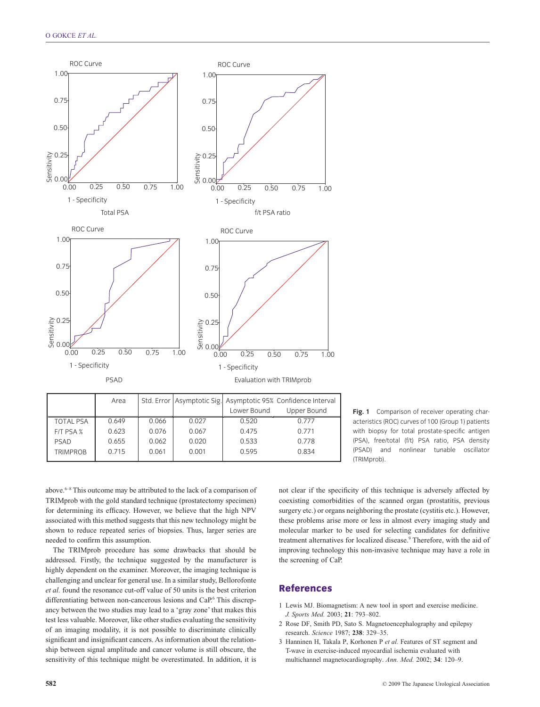

|                  | Area  |       |       | Std. Error Asymptotic Sig. Asymptotic 95% Confidence Interval |             |
|------------------|-------|-------|-------|---------------------------------------------------------------|-------------|
|                  |       |       |       | Lower Bound                                                   | Upper Bound |
| <b>TOTAL PSA</b> | 0.649 | 0.066 | 0.027 | 0.520                                                         | 0.777       |
| F/T PSA %        | 0.623 | 0.076 | 0.067 | 0.475                                                         | 0.771       |
| PSAD             | 0.655 | 0.062 | 0.020 | 0.533                                                         | 0.778       |
| <b>TRIMPROB</b>  | 0.715 | 0.061 | 0.001 | 0.595                                                         | 0.834       |

**Fig. 1** Comparison of receiver operating characteristics (ROC) curves of 100 (Group 1) patients with biopsy for total prostate-specific antigen (PSA), free/total (f/t) PSA ratio, PSA density (PSAD) and nonlinear tunable oscillator (TRIMprob).

above.6–8 This outcome may be attributed to the lack of a comparison of TRIMprob with the gold standard technique (prostatectomy specimen) for determining its efficacy. However, we believe that the high NPV associated with this method suggests that this new technology might be shown to reduce repeated series of biopsies. Thus, larger series are needed to confirm this assumption.

The TRIMprob procedure has some drawbacks that should be addressed. Firstly, the technique suggested by the manufacturer is highly dependent on the examiner. Moreover, the imaging technique is challenging and unclear for general use. In a similar study, Bellorofonte *et al.* found the resonance cut-off value of 50 units is the best criterion differentiating between non-cancerous lesions and CaP.<sup>6</sup> This discrepancy between the two studies may lead to a 'gray zone' that makes this test less valuable. Moreover, like other studies evaluating the sensitivity of an imaging modality, it is not possible to discriminate clinically significant and insignificant cancers. As information about the relationship between signal amplitude and cancer volume is still obscure, the sensitivity of this technique might be overestimated. In addition, it is

not clear if the specificity of this technique is adversely affected by coexisting comorbidities of the scanned organ (prostatitis, previous surgery etc.) or organs neighboring the prostate (cystitis etc.). However, these problems arise more or less in almost every imaging study and molecular marker to be used for selecting candidates for definitive treatment alternatives for localized disease.<sup>9</sup> Therefore, with the aid of improving technology this non-invasive technique may have a role in the screening of CaP.

# **References**

- 1 Lewis MJ. Biomagnetism: A new tool in sport and exercise medicine. *J. Sports Med.* 2003; **21**: 793–802.
- 2 Rose DF, Smith PD, Sato S. Magnetoencephalography and epilepsy research. *Science* 1987; **238**: 329–35.
- 3 Hanninen H, Takala P, Korhonen P *et al.* Features of ST segment and T-wave in exercise-induced myocardial ischemia evaluated with multichannel magnetocardiography. *Ann. Med.* 2002; **34**: 120–9.